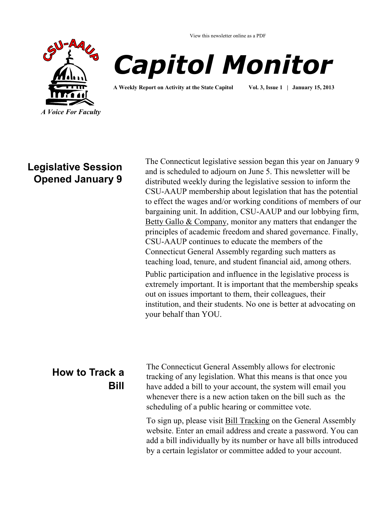

View this newsletter online as a PDF



**A Weekly Report on Activity at the State Capitol Vol. 3, Issue 1 | January 15, 2013**

your behalf than YOU.

### **Legislative Session Opened January 9**

The Connecticut legislative session began this year on January 9 and is scheduled to adjourn on June 5. This newsletter will be distributed weekly during the legislative session to inform the CSU-AAUP membership about legislation that has the potential to effect the wages and/or working conditions of members of our bargaining unit. In addition, CSU-AAUP and our lobbying firm, [Betty Gallo & Company,](http://www.csuaaup.org/?page_id=115) monitor any matters that endanger the principles of academic freedom and shared governance. Finally, CSU-AAUP continues to educate the members of the Connecticut General Assembly regarding such matters as teaching load, tenure, and student financial aid, among others. Public participation and influence in the legislative process is extremely important. It is important that the membership speaks out on issues important to them, their colleagues, their institution, and their students. No one is better at advocating on

# **How to Track a Bill**

The Connecticut General Assembly allows for electronic tracking of any legislation. What this means is that once you have added a bill to your account, the system will email you whenever there is a new action taken on the bill such as the scheduling of a public hearing or committee vote.

To sign up, please visit [Bill Tracking](http://www.cga.ct.gov/aspx/CGAPublicBillTrack/Register.aspx) on the General Assembly website. Enter an email address and create a password. You can add a bill individually by its number or have all bills introduced by a certain legislator or committee added to your account.